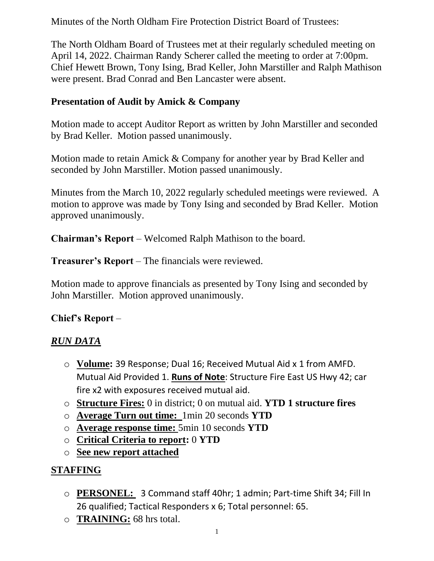Minutes of the North Oldham Fire Protection District Board of Trustees:

The North Oldham Board of Trustees met at their regularly scheduled meeting on April 14, 2022. Chairman Randy Scherer called the meeting to order at 7:00pm. Chief Hewett Brown, Tony Ising, Brad Keller, John Marstiller and Ralph Mathison were present. Brad Conrad and Ben Lancaster were absent.

### **Presentation of Audit by Amick & Company**

Motion made to accept Auditor Report as written by John Marstiller and seconded by Brad Keller. Motion passed unanimously.

Motion made to retain Amick & Company for another year by Brad Keller and seconded by John Marstiller. Motion passed unanimously.

Minutes from the March 10, 2022 regularly scheduled meetings were reviewed. A motion to approve was made by Tony Ising and seconded by Brad Keller. Motion approved unanimously.

**Chairman's Report** – Welcomed Ralph Mathison to the board.

**Treasurer's Report** – The financials were reviewed.

Motion made to approve financials as presented by Tony Ising and seconded by John Marstiller. Motion approved unanimously.

## **Chief's Report** –

## *RUN DATA*

- o **Volume:** 39 Response; Dual 16; Received Mutual Aid x 1 from AMFD. Mutual Aid Provided 1. **Runs of Note**: Structure Fire East US Hwy 42; car fire x2 with exposures received mutual aid.
- o **Structure Fires:** 0 in district; 0 on mutual aid. **YTD 1 structure fires**
- o **Average Turn out time:** 1min 20 seconds **YTD**
- o **Average response time:** 5min 10 seconds **YTD**
- o **Critical Criteria to report:** 0 **YTD**
- o **See new report attached**

## **STAFFING**

- o **PERSONEL:** 3 Command staff 40hr; 1 admin; Part-time Shift 34; Fill In 26 qualified; Tactical Responders x 6; Total personnel: 65.
- o **TRAINING:** 68 hrs total.